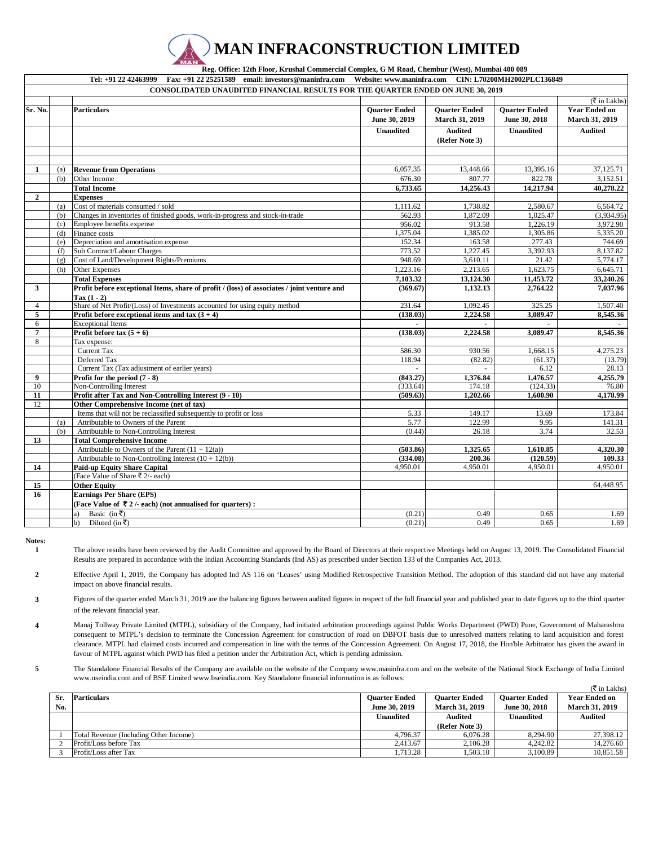## **MAN INFRACONSTRUCTION LIMITED**

 **Reg. Office: 12th Floor, Krushal Commercial Complex, G M Road, Chembur (West), Mumbai 400 089** 

**Tel: +91 22 42463999 Fax: +91 22 25251589 email: investors@maninfra.com Website: www.maninfra.com CIN: L70200MH2002PLC136849**

| (₹ in Lakhs)<br><b>Ouarter Ended</b><br><b>Ouarter Ended</b><br><b>Ouarter Ended</b><br><b>Year Ended on</b><br>Sr. No.<br><b>Particulars</b><br>June 30, 2019<br>March 31, 2019<br>March 31, 2019<br>June 30, 2018<br><b>Audited</b><br><b>Unaudited</b><br><b>Unaudited</b><br><b>Audited</b><br>(Refer Note 3)<br><b>Revenue from Operations</b><br>6,057.35<br>13,448.66<br>13,395.16<br>37,125.71<br>1<br>(a)<br>676.30<br>807.77<br>822.78<br>3,152.51<br>Other Income<br>(b)<br><b>Total Income</b><br>6,733.65<br>14,256.43<br>14,217.94<br>40,278.22<br>$\overline{2}$<br><b>Expenses</b><br>Cost of materials consumed / sold<br>1,738.82<br>2,580.67<br>6,564.72<br>1,111.62<br>(a)<br>562.93<br>1.872.09<br>1.025.47<br>(3.934.95)<br>(b)<br>Changes in inventories of finished goods, work-in-progress and stock-in-trade<br>956.02<br>3.972.90<br>Employee benefits expense<br>913.58<br>1.226.19<br>(c)<br>1,375.04<br>1,385.02<br>1,305.86<br>5,335.20<br>(d)<br>Finance costs<br>Depreciation and amortisation expense<br>152.34<br>163.58<br>277.43<br>744.69<br>(e)<br>773.52<br>1,227.45<br>3,392.93<br>8,137.82<br>(f)<br>Sub Contract/Labour Charges<br>948.69<br>Cost of Land/Development Rights/Premiums<br>3,610.11<br>21.42<br>5,774.17<br>(g)<br>Other Expenses<br>1,223.16<br>2,213.65<br>1,623.75<br>6,645.71<br>(h)<br><b>Total Expenses</b><br>7,103.32<br>13,124.30<br>11,453.72<br>33,240.26<br>Profit before exceptional Items, share of profit / (loss) of associates / joint venture and<br>1,132.13<br>7,037.96<br>3<br>(369.67)<br>2,764.22<br>$\Gamma$ ax $(1 - 2)$<br>Share of Net Profit/(Loss) of Investments accounted for using equity method<br>231.64<br>1,092.45<br>325.25<br>1,507.40<br>$\overline{4}$<br>5<br>Profit before exceptional items and tax $(3 + 4)$<br>(138.03)<br>2,224.58<br>3,089.47<br>8,545.36<br><b>Exceptional Items</b><br>6<br>$\overline{7}$<br>(138.03)<br>2,224.58<br>3,089.47<br>8,545.36<br>Profit before tax $(5 + 6)$<br>8<br>Tax expense:<br>930.56<br>4,275.23<br>Current Tax<br>586.30<br>1,668.15<br>Deferred Tax<br>118.94<br>(82.82)<br>(61.37)<br>(13.79)<br>Current Tax (Tax adjustment of earlier years)<br>6.12<br>28.13<br>9<br>Profit for the period $(7 - 8)$<br>(843.27)<br>1,376.84<br>1,476.57<br>4,255.79<br>10<br>(124.33)<br>Non-Controlling Interest<br>(333.64)<br>174.18<br>76.80<br>Profit after Tax and Non-Controlling Interest (9 - 10)<br>1,202.66<br>1.600.90<br>11<br>(509.63)<br>4,178.99<br>12<br>Other Comprehensive Income (net of tax)<br>149.17<br>173.84<br>Items that will not be reclassified subsequently to profit or loss<br>5.33<br>13.69<br>122.99<br>Attributable to Owners of the Parent<br>5.77<br>9.95<br>141.31<br>(a)<br>Attributable to Non-Controlling Interest<br>(0.44)<br>3.74<br>32.53<br>(b)<br>26.18<br>13<br><b>Total Comprehensive Income</b><br>Attributable to Owners of the Parent $(11 + 12(a))$<br>(503.86)<br>1,325.65<br>1,610.85<br>4,320.30<br>Attributable to Non-Controlling Interest $(10 + 12(b))$<br>(334.08)<br>200.36<br>(120.59)<br>109.33<br>14<br><b>Paid-up Equity Share Capital</b><br>4,950.01<br>4,950.01<br>4,950.01<br>4,950.01<br>(Face Value of Share ₹ 2/- each)<br>15<br><b>Other Equity</b><br>64,448.95<br>16<br><b>Earnings Per Share (EPS)</b><br>(Face Value of ₹2/- each) (not annualised for quarters) :<br>Basic (in ₹)<br>(0.21)<br>0.49<br>0.65<br>1.69<br>a)<br>Diluted (in ₹)<br>(0.21)<br>0.49<br>0.65<br>1.69<br>b) |  | <b>CONSOLIDATED UNAUDITED FINANCIAL RESULTS FOR THE QUARTER ENDED ON JUNE 30, 2019</b> |  |  |
|---------------------------------------------------------------------------------------------------------------------------------------------------------------------------------------------------------------------------------------------------------------------------------------------------------------------------------------------------------------------------------------------------------------------------------------------------------------------------------------------------------------------------------------------------------------------------------------------------------------------------------------------------------------------------------------------------------------------------------------------------------------------------------------------------------------------------------------------------------------------------------------------------------------------------------------------------------------------------------------------------------------------------------------------------------------------------------------------------------------------------------------------------------------------------------------------------------------------------------------------------------------------------------------------------------------------------------------------------------------------------------------------------------------------------------------------------------------------------------------------------------------------------------------------------------------------------------------------------------------------------------------------------------------------------------------------------------------------------------------------------------------------------------------------------------------------------------------------------------------------------------------------------------------------------------------------------------------------------------------------------------------------------------------------------------------------------------------------------------------------------------------------------------------------------------------------------------------------------------------------------------------------------------------------------------------------------------------------------------------------------------------------------------------------------------------------------------------------------------------------------------------------------------------------------------------------------------------------------------------------------------------------------------------------------------------------------------------------------------------------------------------------------------------------------------------------------------------------------------------------------------------------------------------------------------------------------------------------------------------------------------------------------------------------------------------------------------------------------------------------------------------------------------------------------------------------------------------------------------------------------------------------------------------------------------------------------------------------------------------------------------------------------------------------------------------------------------------------------------------------------------|--|----------------------------------------------------------------------------------------|--|--|
|                                                                                                                                                                                                                                                                                                                                                                                                                                                                                                                                                                                                                                                                                                                                                                                                                                                                                                                                                                                                                                                                                                                                                                                                                                                                                                                                                                                                                                                                                                                                                                                                                                                                                                                                                                                                                                                                                                                                                                                                                                                                                                                                                                                                                                                                                                                                                                                                                                                                                                                                                                                                                                                                                                                                                                                                                                                                                                                                                                                                                                                                                                                                                                                                                                                                                                                                                                                                                                                                                                         |  |                                                                                        |  |  |
|                                                                                                                                                                                                                                                                                                                                                                                                                                                                                                                                                                                                                                                                                                                                                                                                                                                                                                                                                                                                                                                                                                                                                                                                                                                                                                                                                                                                                                                                                                                                                                                                                                                                                                                                                                                                                                                                                                                                                                                                                                                                                                                                                                                                                                                                                                                                                                                                                                                                                                                                                                                                                                                                                                                                                                                                                                                                                                                                                                                                                                                                                                                                                                                                                                                                                                                                                                                                                                                                                                         |  |                                                                                        |  |  |
|                                                                                                                                                                                                                                                                                                                                                                                                                                                                                                                                                                                                                                                                                                                                                                                                                                                                                                                                                                                                                                                                                                                                                                                                                                                                                                                                                                                                                                                                                                                                                                                                                                                                                                                                                                                                                                                                                                                                                                                                                                                                                                                                                                                                                                                                                                                                                                                                                                                                                                                                                                                                                                                                                                                                                                                                                                                                                                                                                                                                                                                                                                                                                                                                                                                                                                                                                                                                                                                                                                         |  |                                                                                        |  |  |
|                                                                                                                                                                                                                                                                                                                                                                                                                                                                                                                                                                                                                                                                                                                                                                                                                                                                                                                                                                                                                                                                                                                                                                                                                                                                                                                                                                                                                                                                                                                                                                                                                                                                                                                                                                                                                                                                                                                                                                                                                                                                                                                                                                                                                                                                                                                                                                                                                                                                                                                                                                                                                                                                                                                                                                                                                                                                                                                                                                                                                                                                                                                                                                                                                                                                                                                                                                                                                                                                                                         |  |                                                                                        |  |  |
|                                                                                                                                                                                                                                                                                                                                                                                                                                                                                                                                                                                                                                                                                                                                                                                                                                                                                                                                                                                                                                                                                                                                                                                                                                                                                                                                                                                                                                                                                                                                                                                                                                                                                                                                                                                                                                                                                                                                                                                                                                                                                                                                                                                                                                                                                                                                                                                                                                                                                                                                                                                                                                                                                                                                                                                                                                                                                                                                                                                                                                                                                                                                                                                                                                                                                                                                                                                                                                                                                                         |  |                                                                                        |  |  |
|                                                                                                                                                                                                                                                                                                                                                                                                                                                                                                                                                                                                                                                                                                                                                                                                                                                                                                                                                                                                                                                                                                                                                                                                                                                                                                                                                                                                                                                                                                                                                                                                                                                                                                                                                                                                                                                                                                                                                                                                                                                                                                                                                                                                                                                                                                                                                                                                                                                                                                                                                                                                                                                                                                                                                                                                                                                                                                                                                                                                                                                                                                                                                                                                                                                                                                                                                                                                                                                                                                         |  |                                                                                        |  |  |
|                                                                                                                                                                                                                                                                                                                                                                                                                                                                                                                                                                                                                                                                                                                                                                                                                                                                                                                                                                                                                                                                                                                                                                                                                                                                                                                                                                                                                                                                                                                                                                                                                                                                                                                                                                                                                                                                                                                                                                                                                                                                                                                                                                                                                                                                                                                                                                                                                                                                                                                                                                                                                                                                                                                                                                                                                                                                                                                                                                                                                                                                                                                                                                                                                                                                                                                                                                                                                                                                                                         |  |                                                                                        |  |  |
|                                                                                                                                                                                                                                                                                                                                                                                                                                                                                                                                                                                                                                                                                                                                                                                                                                                                                                                                                                                                                                                                                                                                                                                                                                                                                                                                                                                                                                                                                                                                                                                                                                                                                                                                                                                                                                                                                                                                                                                                                                                                                                                                                                                                                                                                                                                                                                                                                                                                                                                                                                                                                                                                                                                                                                                                                                                                                                                                                                                                                                                                                                                                                                                                                                                                                                                                                                                                                                                                                                         |  |                                                                                        |  |  |
|                                                                                                                                                                                                                                                                                                                                                                                                                                                                                                                                                                                                                                                                                                                                                                                                                                                                                                                                                                                                                                                                                                                                                                                                                                                                                                                                                                                                                                                                                                                                                                                                                                                                                                                                                                                                                                                                                                                                                                                                                                                                                                                                                                                                                                                                                                                                                                                                                                                                                                                                                                                                                                                                                                                                                                                                                                                                                                                                                                                                                                                                                                                                                                                                                                                                                                                                                                                                                                                                                                         |  |                                                                                        |  |  |
|                                                                                                                                                                                                                                                                                                                                                                                                                                                                                                                                                                                                                                                                                                                                                                                                                                                                                                                                                                                                                                                                                                                                                                                                                                                                                                                                                                                                                                                                                                                                                                                                                                                                                                                                                                                                                                                                                                                                                                                                                                                                                                                                                                                                                                                                                                                                                                                                                                                                                                                                                                                                                                                                                                                                                                                                                                                                                                                                                                                                                                                                                                                                                                                                                                                                                                                                                                                                                                                                                                         |  |                                                                                        |  |  |
|                                                                                                                                                                                                                                                                                                                                                                                                                                                                                                                                                                                                                                                                                                                                                                                                                                                                                                                                                                                                                                                                                                                                                                                                                                                                                                                                                                                                                                                                                                                                                                                                                                                                                                                                                                                                                                                                                                                                                                                                                                                                                                                                                                                                                                                                                                                                                                                                                                                                                                                                                                                                                                                                                                                                                                                                                                                                                                                                                                                                                                                                                                                                                                                                                                                                                                                                                                                                                                                                                                         |  |                                                                                        |  |  |
|                                                                                                                                                                                                                                                                                                                                                                                                                                                                                                                                                                                                                                                                                                                                                                                                                                                                                                                                                                                                                                                                                                                                                                                                                                                                                                                                                                                                                                                                                                                                                                                                                                                                                                                                                                                                                                                                                                                                                                                                                                                                                                                                                                                                                                                                                                                                                                                                                                                                                                                                                                                                                                                                                                                                                                                                                                                                                                                                                                                                                                                                                                                                                                                                                                                                                                                                                                                                                                                                                                         |  |                                                                                        |  |  |
|                                                                                                                                                                                                                                                                                                                                                                                                                                                                                                                                                                                                                                                                                                                                                                                                                                                                                                                                                                                                                                                                                                                                                                                                                                                                                                                                                                                                                                                                                                                                                                                                                                                                                                                                                                                                                                                                                                                                                                                                                                                                                                                                                                                                                                                                                                                                                                                                                                                                                                                                                                                                                                                                                                                                                                                                                                                                                                                                                                                                                                                                                                                                                                                                                                                                                                                                                                                                                                                                                                         |  |                                                                                        |  |  |
|                                                                                                                                                                                                                                                                                                                                                                                                                                                                                                                                                                                                                                                                                                                                                                                                                                                                                                                                                                                                                                                                                                                                                                                                                                                                                                                                                                                                                                                                                                                                                                                                                                                                                                                                                                                                                                                                                                                                                                                                                                                                                                                                                                                                                                                                                                                                                                                                                                                                                                                                                                                                                                                                                                                                                                                                                                                                                                                                                                                                                                                                                                                                                                                                                                                                                                                                                                                                                                                                                                         |  |                                                                                        |  |  |
|                                                                                                                                                                                                                                                                                                                                                                                                                                                                                                                                                                                                                                                                                                                                                                                                                                                                                                                                                                                                                                                                                                                                                                                                                                                                                                                                                                                                                                                                                                                                                                                                                                                                                                                                                                                                                                                                                                                                                                                                                                                                                                                                                                                                                                                                                                                                                                                                                                                                                                                                                                                                                                                                                                                                                                                                                                                                                                                                                                                                                                                                                                                                                                                                                                                                                                                                                                                                                                                                                                         |  |                                                                                        |  |  |
|                                                                                                                                                                                                                                                                                                                                                                                                                                                                                                                                                                                                                                                                                                                                                                                                                                                                                                                                                                                                                                                                                                                                                                                                                                                                                                                                                                                                                                                                                                                                                                                                                                                                                                                                                                                                                                                                                                                                                                                                                                                                                                                                                                                                                                                                                                                                                                                                                                                                                                                                                                                                                                                                                                                                                                                                                                                                                                                                                                                                                                                                                                                                                                                                                                                                                                                                                                                                                                                                                                         |  |                                                                                        |  |  |
|                                                                                                                                                                                                                                                                                                                                                                                                                                                                                                                                                                                                                                                                                                                                                                                                                                                                                                                                                                                                                                                                                                                                                                                                                                                                                                                                                                                                                                                                                                                                                                                                                                                                                                                                                                                                                                                                                                                                                                                                                                                                                                                                                                                                                                                                                                                                                                                                                                                                                                                                                                                                                                                                                                                                                                                                                                                                                                                                                                                                                                                                                                                                                                                                                                                                                                                                                                                                                                                                                                         |  |                                                                                        |  |  |
|                                                                                                                                                                                                                                                                                                                                                                                                                                                                                                                                                                                                                                                                                                                                                                                                                                                                                                                                                                                                                                                                                                                                                                                                                                                                                                                                                                                                                                                                                                                                                                                                                                                                                                                                                                                                                                                                                                                                                                                                                                                                                                                                                                                                                                                                                                                                                                                                                                                                                                                                                                                                                                                                                                                                                                                                                                                                                                                                                                                                                                                                                                                                                                                                                                                                                                                                                                                                                                                                                                         |  |                                                                                        |  |  |
|                                                                                                                                                                                                                                                                                                                                                                                                                                                                                                                                                                                                                                                                                                                                                                                                                                                                                                                                                                                                                                                                                                                                                                                                                                                                                                                                                                                                                                                                                                                                                                                                                                                                                                                                                                                                                                                                                                                                                                                                                                                                                                                                                                                                                                                                                                                                                                                                                                                                                                                                                                                                                                                                                                                                                                                                                                                                                                                                                                                                                                                                                                                                                                                                                                                                                                                                                                                                                                                                                                         |  |                                                                                        |  |  |
|                                                                                                                                                                                                                                                                                                                                                                                                                                                                                                                                                                                                                                                                                                                                                                                                                                                                                                                                                                                                                                                                                                                                                                                                                                                                                                                                                                                                                                                                                                                                                                                                                                                                                                                                                                                                                                                                                                                                                                                                                                                                                                                                                                                                                                                                                                                                                                                                                                                                                                                                                                                                                                                                                                                                                                                                                                                                                                                                                                                                                                                                                                                                                                                                                                                                                                                                                                                                                                                                                                         |  |                                                                                        |  |  |
|                                                                                                                                                                                                                                                                                                                                                                                                                                                                                                                                                                                                                                                                                                                                                                                                                                                                                                                                                                                                                                                                                                                                                                                                                                                                                                                                                                                                                                                                                                                                                                                                                                                                                                                                                                                                                                                                                                                                                                                                                                                                                                                                                                                                                                                                                                                                                                                                                                                                                                                                                                                                                                                                                                                                                                                                                                                                                                                                                                                                                                                                                                                                                                                                                                                                                                                                                                                                                                                                                                         |  |                                                                                        |  |  |
|                                                                                                                                                                                                                                                                                                                                                                                                                                                                                                                                                                                                                                                                                                                                                                                                                                                                                                                                                                                                                                                                                                                                                                                                                                                                                                                                                                                                                                                                                                                                                                                                                                                                                                                                                                                                                                                                                                                                                                                                                                                                                                                                                                                                                                                                                                                                                                                                                                                                                                                                                                                                                                                                                                                                                                                                                                                                                                                                                                                                                                                                                                                                                                                                                                                                                                                                                                                                                                                                                                         |  |                                                                                        |  |  |
|                                                                                                                                                                                                                                                                                                                                                                                                                                                                                                                                                                                                                                                                                                                                                                                                                                                                                                                                                                                                                                                                                                                                                                                                                                                                                                                                                                                                                                                                                                                                                                                                                                                                                                                                                                                                                                                                                                                                                                                                                                                                                                                                                                                                                                                                                                                                                                                                                                                                                                                                                                                                                                                                                                                                                                                                                                                                                                                                                                                                                                                                                                                                                                                                                                                                                                                                                                                                                                                                                                         |  |                                                                                        |  |  |
|                                                                                                                                                                                                                                                                                                                                                                                                                                                                                                                                                                                                                                                                                                                                                                                                                                                                                                                                                                                                                                                                                                                                                                                                                                                                                                                                                                                                                                                                                                                                                                                                                                                                                                                                                                                                                                                                                                                                                                                                                                                                                                                                                                                                                                                                                                                                                                                                                                                                                                                                                                                                                                                                                                                                                                                                                                                                                                                                                                                                                                                                                                                                                                                                                                                                                                                                                                                                                                                                                                         |  |                                                                                        |  |  |
|                                                                                                                                                                                                                                                                                                                                                                                                                                                                                                                                                                                                                                                                                                                                                                                                                                                                                                                                                                                                                                                                                                                                                                                                                                                                                                                                                                                                                                                                                                                                                                                                                                                                                                                                                                                                                                                                                                                                                                                                                                                                                                                                                                                                                                                                                                                                                                                                                                                                                                                                                                                                                                                                                                                                                                                                                                                                                                                                                                                                                                                                                                                                                                                                                                                                                                                                                                                                                                                                                                         |  |                                                                                        |  |  |
|                                                                                                                                                                                                                                                                                                                                                                                                                                                                                                                                                                                                                                                                                                                                                                                                                                                                                                                                                                                                                                                                                                                                                                                                                                                                                                                                                                                                                                                                                                                                                                                                                                                                                                                                                                                                                                                                                                                                                                                                                                                                                                                                                                                                                                                                                                                                                                                                                                                                                                                                                                                                                                                                                                                                                                                                                                                                                                                                                                                                                                                                                                                                                                                                                                                                                                                                                                                                                                                                                                         |  |                                                                                        |  |  |
|                                                                                                                                                                                                                                                                                                                                                                                                                                                                                                                                                                                                                                                                                                                                                                                                                                                                                                                                                                                                                                                                                                                                                                                                                                                                                                                                                                                                                                                                                                                                                                                                                                                                                                                                                                                                                                                                                                                                                                                                                                                                                                                                                                                                                                                                                                                                                                                                                                                                                                                                                                                                                                                                                                                                                                                                                                                                                                                                                                                                                                                                                                                                                                                                                                                                                                                                                                                                                                                                                                         |  |                                                                                        |  |  |
|                                                                                                                                                                                                                                                                                                                                                                                                                                                                                                                                                                                                                                                                                                                                                                                                                                                                                                                                                                                                                                                                                                                                                                                                                                                                                                                                                                                                                                                                                                                                                                                                                                                                                                                                                                                                                                                                                                                                                                                                                                                                                                                                                                                                                                                                                                                                                                                                                                                                                                                                                                                                                                                                                                                                                                                                                                                                                                                                                                                                                                                                                                                                                                                                                                                                                                                                                                                                                                                                                                         |  |                                                                                        |  |  |
|                                                                                                                                                                                                                                                                                                                                                                                                                                                                                                                                                                                                                                                                                                                                                                                                                                                                                                                                                                                                                                                                                                                                                                                                                                                                                                                                                                                                                                                                                                                                                                                                                                                                                                                                                                                                                                                                                                                                                                                                                                                                                                                                                                                                                                                                                                                                                                                                                                                                                                                                                                                                                                                                                                                                                                                                                                                                                                                                                                                                                                                                                                                                                                                                                                                                                                                                                                                                                                                                                                         |  |                                                                                        |  |  |
|                                                                                                                                                                                                                                                                                                                                                                                                                                                                                                                                                                                                                                                                                                                                                                                                                                                                                                                                                                                                                                                                                                                                                                                                                                                                                                                                                                                                                                                                                                                                                                                                                                                                                                                                                                                                                                                                                                                                                                                                                                                                                                                                                                                                                                                                                                                                                                                                                                                                                                                                                                                                                                                                                                                                                                                                                                                                                                                                                                                                                                                                                                                                                                                                                                                                                                                                                                                                                                                                                                         |  |                                                                                        |  |  |
|                                                                                                                                                                                                                                                                                                                                                                                                                                                                                                                                                                                                                                                                                                                                                                                                                                                                                                                                                                                                                                                                                                                                                                                                                                                                                                                                                                                                                                                                                                                                                                                                                                                                                                                                                                                                                                                                                                                                                                                                                                                                                                                                                                                                                                                                                                                                                                                                                                                                                                                                                                                                                                                                                                                                                                                                                                                                                                                                                                                                                                                                                                                                                                                                                                                                                                                                                                                                                                                                                                         |  |                                                                                        |  |  |
|                                                                                                                                                                                                                                                                                                                                                                                                                                                                                                                                                                                                                                                                                                                                                                                                                                                                                                                                                                                                                                                                                                                                                                                                                                                                                                                                                                                                                                                                                                                                                                                                                                                                                                                                                                                                                                                                                                                                                                                                                                                                                                                                                                                                                                                                                                                                                                                                                                                                                                                                                                                                                                                                                                                                                                                                                                                                                                                                                                                                                                                                                                                                                                                                                                                                                                                                                                                                                                                                                                         |  |                                                                                        |  |  |
|                                                                                                                                                                                                                                                                                                                                                                                                                                                                                                                                                                                                                                                                                                                                                                                                                                                                                                                                                                                                                                                                                                                                                                                                                                                                                                                                                                                                                                                                                                                                                                                                                                                                                                                                                                                                                                                                                                                                                                                                                                                                                                                                                                                                                                                                                                                                                                                                                                                                                                                                                                                                                                                                                                                                                                                                                                                                                                                                                                                                                                                                                                                                                                                                                                                                                                                                                                                                                                                                                                         |  |                                                                                        |  |  |
|                                                                                                                                                                                                                                                                                                                                                                                                                                                                                                                                                                                                                                                                                                                                                                                                                                                                                                                                                                                                                                                                                                                                                                                                                                                                                                                                                                                                                                                                                                                                                                                                                                                                                                                                                                                                                                                                                                                                                                                                                                                                                                                                                                                                                                                                                                                                                                                                                                                                                                                                                                                                                                                                                                                                                                                                                                                                                                                                                                                                                                                                                                                                                                                                                                                                                                                                                                                                                                                                                                         |  |                                                                                        |  |  |
|                                                                                                                                                                                                                                                                                                                                                                                                                                                                                                                                                                                                                                                                                                                                                                                                                                                                                                                                                                                                                                                                                                                                                                                                                                                                                                                                                                                                                                                                                                                                                                                                                                                                                                                                                                                                                                                                                                                                                                                                                                                                                                                                                                                                                                                                                                                                                                                                                                                                                                                                                                                                                                                                                                                                                                                                                                                                                                                                                                                                                                                                                                                                                                                                                                                                                                                                                                                                                                                                                                         |  |                                                                                        |  |  |
|                                                                                                                                                                                                                                                                                                                                                                                                                                                                                                                                                                                                                                                                                                                                                                                                                                                                                                                                                                                                                                                                                                                                                                                                                                                                                                                                                                                                                                                                                                                                                                                                                                                                                                                                                                                                                                                                                                                                                                                                                                                                                                                                                                                                                                                                                                                                                                                                                                                                                                                                                                                                                                                                                                                                                                                                                                                                                                                                                                                                                                                                                                                                                                                                                                                                                                                                                                                                                                                                                                         |  |                                                                                        |  |  |
|                                                                                                                                                                                                                                                                                                                                                                                                                                                                                                                                                                                                                                                                                                                                                                                                                                                                                                                                                                                                                                                                                                                                                                                                                                                                                                                                                                                                                                                                                                                                                                                                                                                                                                                                                                                                                                                                                                                                                                                                                                                                                                                                                                                                                                                                                                                                                                                                                                                                                                                                                                                                                                                                                                                                                                                                                                                                                                                                                                                                                                                                                                                                                                                                                                                                                                                                                                                                                                                                                                         |  |                                                                                        |  |  |
|                                                                                                                                                                                                                                                                                                                                                                                                                                                                                                                                                                                                                                                                                                                                                                                                                                                                                                                                                                                                                                                                                                                                                                                                                                                                                                                                                                                                                                                                                                                                                                                                                                                                                                                                                                                                                                                                                                                                                                                                                                                                                                                                                                                                                                                                                                                                                                                                                                                                                                                                                                                                                                                                                                                                                                                                                                                                                                                                                                                                                                                                                                                                                                                                                                                                                                                                                                                                                                                                                                         |  |                                                                                        |  |  |
|                                                                                                                                                                                                                                                                                                                                                                                                                                                                                                                                                                                                                                                                                                                                                                                                                                                                                                                                                                                                                                                                                                                                                                                                                                                                                                                                                                                                                                                                                                                                                                                                                                                                                                                                                                                                                                                                                                                                                                                                                                                                                                                                                                                                                                                                                                                                                                                                                                                                                                                                                                                                                                                                                                                                                                                                                                                                                                                                                                                                                                                                                                                                                                                                                                                                                                                                                                                                                                                                                                         |  |                                                                                        |  |  |
|                                                                                                                                                                                                                                                                                                                                                                                                                                                                                                                                                                                                                                                                                                                                                                                                                                                                                                                                                                                                                                                                                                                                                                                                                                                                                                                                                                                                                                                                                                                                                                                                                                                                                                                                                                                                                                                                                                                                                                                                                                                                                                                                                                                                                                                                                                                                                                                                                                                                                                                                                                                                                                                                                                                                                                                                                                                                                                                                                                                                                                                                                                                                                                                                                                                                                                                                                                                                                                                                                                         |  |                                                                                        |  |  |
|                                                                                                                                                                                                                                                                                                                                                                                                                                                                                                                                                                                                                                                                                                                                                                                                                                                                                                                                                                                                                                                                                                                                                                                                                                                                                                                                                                                                                                                                                                                                                                                                                                                                                                                                                                                                                                                                                                                                                                                                                                                                                                                                                                                                                                                                                                                                                                                                                                                                                                                                                                                                                                                                                                                                                                                                                                                                                                                                                                                                                                                                                                                                                                                                                                                                                                                                                                                                                                                                                                         |  |                                                                                        |  |  |
|                                                                                                                                                                                                                                                                                                                                                                                                                                                                                                                                                                                                                                                                                                                                                                                                                                                                                                                                                                                                                                                                                                                                                                                                                                                                                                                                                                                                                                                                                                                                                                                                                                                                                                                                                                                                                                                                                                                                                                                                                                                                                                                                                                                                                                                                                                                                                                                                                                                                                                                                                                                                                                                                                                                                                                                                                                                                                                                                                                                                                                                                                                                                                                                                                                                                                                                                                                                                                                                                                                         |  |                                                                                        |  |  |
|                                                                                                                                                                                                                                                                                                                                                                                                                                                                                                                                                                                                                                                                                                                                                                                                                                                                                                                                                                                                                                                                                                                                                                                                                                                                                                                                                                                                                                                                                                                                                                                                                                                                                                                                                                                                                                                                                                                                                                                                                                                                                                                                                                                                                                                                                                                                                                                                                                                                                                                                                                                                                                                                                                                                                                                                                                                                                                                                                                                                                                                                                                                                                                                                                                                                                                                                                                                                                                                                                                         |  |                                                                                        |  |  |
|                                                                                                                                                                                                                                                                                                                                                                                                                                                                                                                                                                                                                                                                                                                                                                                                                                                                                                                                                                                                                                                                                                                                                                                                                                                                                                                                                                                                                                                                                                                                                                                                                                                                                                                                                                                                                                                                                                                                                                                                                                                                                                                                                                                                                                                                                                                                                                                                                                                                                                                                                                                                                                                                                                                                                                                                                                                                                                                                                                                                                                                                                                                                                                                                                                                                                                                                                                                                                                                                                                         |  |                                                                                        |  |  |

**Notes: 1**

The above results have been reviewed by the Audit Committee and approved by the Board of Directors at their respective Meetings held on August 13, 2019. The Consolidated Financial Results are prepared in accordance with the Indian Accounting Standards (Ind AS) as prescribed under Section 133 of the Companies Act, 2013.

**2** Effective April 1, 2019, the Company has adopted Ind AS 116 on 'Leases' using Modified Retrospective Transition Method. The adoption of this standard did not have any material impact on above financial results.

**3** Figures of the quarter ended March 31, 2019 are the balancing figures between audited figures in respect of the full financial year and published year to date figures up to the third quarter of the relevant financial year.

**4** Manaj Tollway Private Limited (MTPL), subsidiary of the Company, had initiated arbitration proceedings against Public Works Department (PWD) Pune, Government of Maharashtra consequent to MTPL's decision to terminate the Concession Agreement for construction of road on DBFOT basis due to unresolved matters relating to land acquisition and forest clearance. MTPL had claimed costs incurred and compensation in line with the terms of the Concession Agreement. On August 17, 2018, the Hon'ble Arbitrator has given the award in favour of MTPL against which PWD has filed a petition under the Arbitration Act, which is pending admission.

**5** The Standalone Financial Results of the Company are available on the website of the Company www.maninfra.com and on the website of the National Stock Exchange of India Limited www.nseindia.com and of BSE Limited www.bseindia.com. Key Standalone financial information is as follows:

|     |                                        |                      |                       |                      | $(\overline{\mathfrak{F}}$ in Lakhs) |
|-----|----------------------------------------|----------------------|-----------------------|----------------------|--------------------------------------|
| Sr. | <b>Particulars</b>                     | <b>Ouarter Ended</b> | <b>Ouarter Ended</b>  | <b>Ouarter Ended</b> | Year Ended on                        |
| No. |                                        | June 30, 2019        | <b>March 31, 2019</b> | June 30, 2018        | <b>March 31, 2019</b>                |
|     |                                        | <b>Unaudited</b>     | Audited               | Unaudited            | <b>Audited</b>                       |
|     |                                        |                      | (Refer Note 3)        |                      |                                      |
|     | Total Revenue (Including Other Income) | 4,796.37             | 6.076.28              | 8.294.90             | 27.398.12                            |
|     | Profit/Loss before Tax                 | 2.413.67             | 2.106.28              | 4.242.82             | 14.276.60                            |
|     | Profit/Loss after Tax                  | 1,713.28             | 1,503.10              | 3.100.89             | 10.851.58                            |